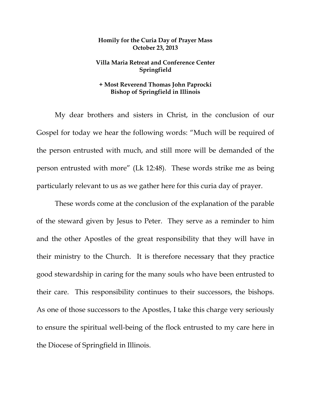## **Homily for the Curia Day of Prayer Mass October 23, 2013**

## **Villa Maria Retreat and Conference Center Springfield**

## **+ Most Reverend Thomas John Paprocki Bishop of Springfield in Illinois**

 My dear brothers and sisters in Christ, in the conclusion of our Gospel for today we hear the following words: "Much will be required of the person entrusted with much, and still more will be demanded of the person entrusted with more" (Lk 12:48). These words strike me as being particularly relevant to us as we gather here for this curia day of prayer.

 These words come at the conclusion of the explanation of the parable of the steward given by Jesus to Peter. They serve as a reminder to him and the other Apostles of the great responsibility that they will have in their ministry to the Church. It is therefore necessary that they practice good stewardship in caring for the many souls who have been entrusted to their care. This responsibility continues to their successors, the bishops. As one of those successors to the Apostles, I take this charge very seriously to ensure the spiritual well-being of the flock entrusted to my care here in the Diocese of Springfield in Illinois.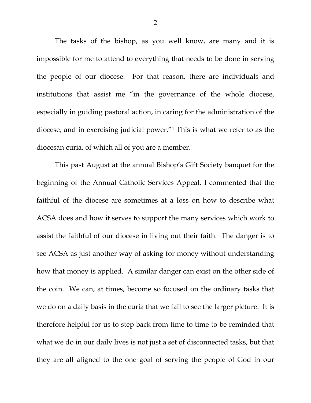The tasks of the bishop, as you well know, are many and it is impossible for me to attend to everything that needs to be done in serving the people of our diocese. For that reason, there are individuals and institutions that assist me "in the governance of the whole diocese, especially in guiding pastoral action, in caring for the administration of the diocese, and in exercising judicial power."1 This is what we refer to as the diocesan curia, of which all of you are a member.

This past August at the annual Bishop's Gift Society banquet for the beginning of the Annual Catholic Services Appeal, I commented that the faithful of the diocese are sometimes at a loss on how to describe what ACSA does and how it serves to support the many services which work to assist the faithful of our diocese in living out their faith. The danger is to see ACSA as just another way of asking for money without understanding how that money is applied. A similar danger can exist on the other side of the coin. We can, at times, become so focused on the ordinary tasks that we do on a daily basis in the curia that we fail to see the larger picture. It is therefore helpful for us to step back from time to time to be reminded that what we do in our daily lives is not just a set of disconnected tasks, but that they are all aligned to the one goal of serving the people of God in our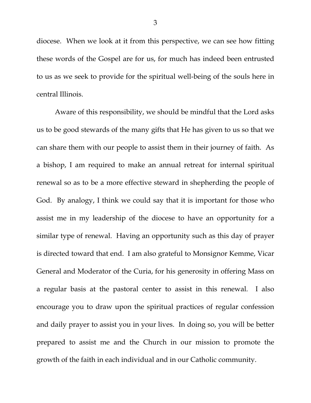diocese. When we look at it from this perspective, we can see how fitting these words of the Gospel are for us, for much has indeed been entrusted to us as we seek to provide for the spiritual well-being of the souls here in central Illinois.

Aware of this responsibility, we should be mindful that the Lord asks us to be good stewards of the many gifts that He has given to us so that we can share them with our people to assist them in their journey of faith. As a bishop, I am required to make an annual retreat for internal spiritual renewal so as to be a more effective steward in shepherding the people of God. By analogy, I think we could say that it is important for those who assist me in my leadership of the diocese to have an opportunity for a similar type of renewal. Having an opportunity such as this day of prayer is directed toward that end. I am also grateful to Monsignor Kemme, Vicar General and Moderator of the Curia, for his generosity in offering Mass on a regular basis at the pastoral center to assist in this renewal. I also encourage you to draw upon the spiritual practices of regular confession and daily prayer to assist you in your lives. In doing so, you will be better prepared to assist me and the Church in our mission to promote the growth of the faith in each individual and in our Catholic community.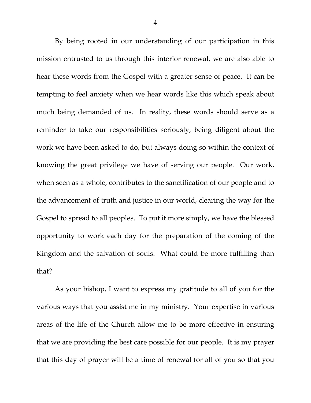By being rooted in our understanding of our participation in this mission entrusted to us through this interior renewal, we are also able to hear these words from the Gospel with a greater sense of peace. It can be tempting to feel anxiety when we hear words like this which speak about much being demanded of us. In reality, these words should serve as a reminder to take our responsibilities seriously, being diligent about the work we have been asked to do, but always doing so within the context of knowing the great privilege we have of serving our people. Our work, when seen as a whole, contributes to the sanctification of our people and to the advancement of truth and justice in our world, clearing the way for the Gospel to spread to all peoples. To put it more simply, we have the blessed opportunity to work each day for the preparation of the coming of the Kingdom and the salvation of souls. What could be more fulfilling than that?

As your bishop, I want to express my gratitude to all of you for the various ways that you assist me in my ministry. Your expertise in various areas of the life of the Church allow me to be more effective in ensuring that we are providing the best care possible for our people. It is my prayer that this day of prayer will be a time of renewal for all of you so that you